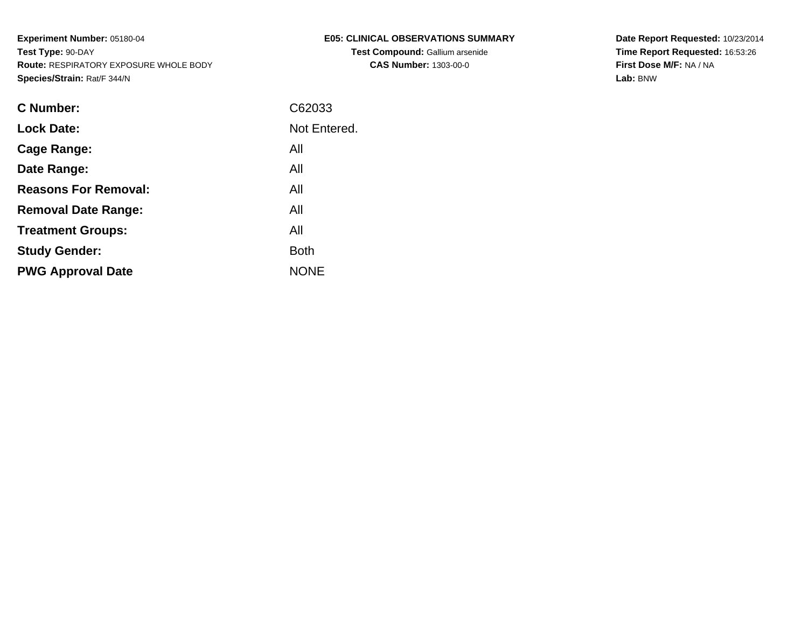| E05: CLINICAL OBSERVATIONS SUMMARY     |
|----------------------------------------|
| <b>Test Compound: Gallium arsenide</b> |
| <b>CAS Number: 1303-00-0</b>           |

**Date Report Requested:** 10/23/2014 **Time Report Requested:** 16:53:26**First Dose M/F:** NA / NA**Lab:** BNW

| <b>C</b> Number:            | C62033       |
|-----------------------------|--------------|
| <b>Lock Date:</b>           | Not Entered. |
| Cage Range:                 | All          |
| Date Range:                 | All          |
| <b>Reasons For Removal:</b> | All          |
| <b>Removal Date Range:</b>  | All          |
| <b>Treatment Groups:</b>    | All          |
| <b>Study Gender:</b>        | <b>Both</b>  |
| <b>PWG Approval Date</b>    | <b>NONE</b>  |
|                             |              |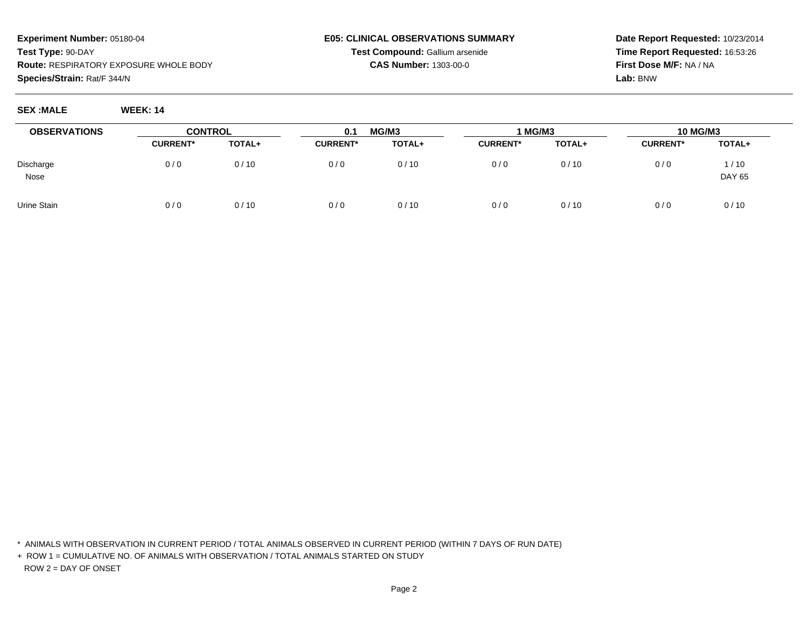# **E05: CLINICAL OBSERVATIONS SUMMARYTest Compound:** Gallium arsenide

**CAS Number:** 1303-00-0

**Date Report Requested:** 10/23/2014**Time Report Requested:** 16:53:26**First Dose M/F:** NA / NA**Lab:** BNW

**SEX :MALE WEEK: 14**

| <b>OBSERVATIONS</b> | <b>CONTROL</b>  |        | 0.1             | MG/M3  | 1 MG/M3         |        | <b>10 MG/M3</b> |                       |
|---------------------|-----------------|--------|-----------------|--------|-----------------|--------|-----------------|-----------------------|
|                     | <b>CURRENT*</b> | TOTAL+ | <b>CURRENT*</b> | TOTAL+ | <b>CURRENT*</b> | TOTAL+ | <b>CURRENT*</b> | TOTAL+                |
| Discharge<br>Nose   | 0/0             | 0/10   | 0/0             | 0/10   | 0/0             | 0/10   | 0/0             | 1/10<br><b>DAY 65</b> |
| Urine Stain         | 0/0             | 0/10   | 0/0             | 0/10   | 0/0             | 0/10   | 0/0             | 0/10                  |

\* ANIMALS WITH OBSERVATION IN CURRENT PERIOD / TOTAL ANIMALS OBSERVED IN CURRENT PERIOD (WITHIN 7 DAYS OF RUN DATE)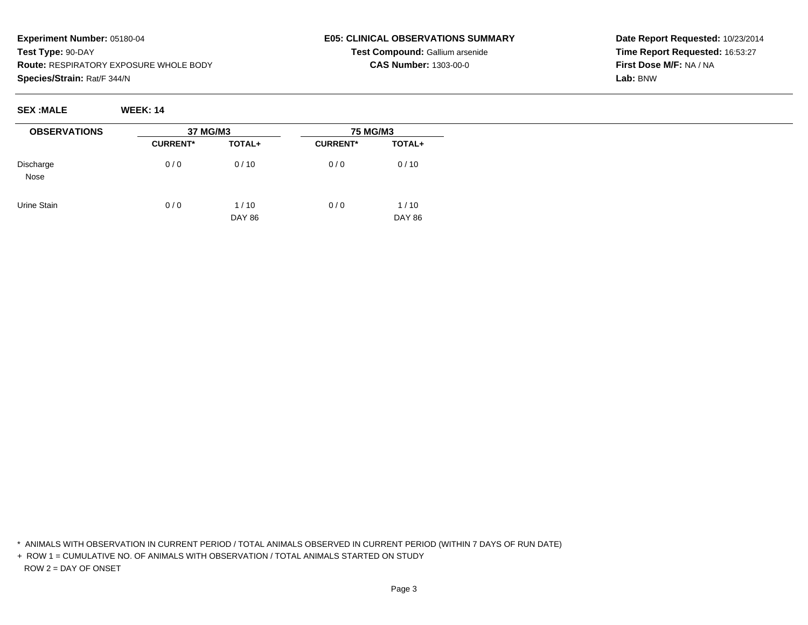# **E05: CLINICAL OBSERVATIONS SUMMARYTest Compound:** Gallium arsenide

**CAS Number:** 1303-00-0

**Date Report Requested:** 10/23/2014**Time Report Requested:** 16:53:27**First Dose M/F:** NA / NA**Lab:** BNW

**SEX :MALE WEEK: 14**

| <b>OBSERVATIONS</b>      | 37 MG/M3        |                       | <b>75 MG/M3</b> |                       |
|--------------------------|-----------------|-----------------------|-----------------|-----------------------|
|                          | <b>CURRENT*</b> | TOTAL+                | <b>CURRENT*</b> | TOTAL+                |
| Discharge<br><b>Nose</b> | 0/0             | 0/10                  | 0/0             | 0/10                  |
| Urine Stain              | 0/0             | 1/10<br><b>DAY 86</b> | 0/0             | 1/10<br><b>DAY 86</b> |

\* ANIMALS WITH OBSERVATION IN CURRENT PERIOD / TOTAL ANIMALS OBSERVED IN CURRENT PERIOD (WITHIN 7 DAYS OF RUN DATE)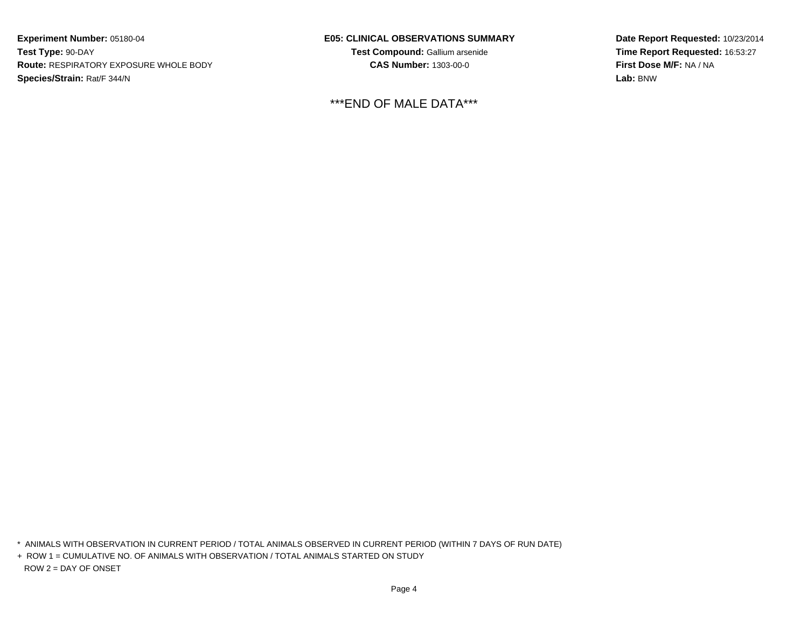#### **E05: CLINICAL OBSERVATIONS SUMMARY**

**Test Compound:** Gallium arsenide**CAS Number:** 1303-00-0

\*\*\*END OF MALE DATA\*\*\*

**Date Report Requested:** 10/23/2014**Time Report Requested:** 16:53:27**First Dose M/F:** NA / NA**Lab:** BNW

\* ANIMALS WITH OBSERVATION IN CURRENT PERIOD / TOTAL ANIMALS OBSERVED IN CURRENT PERIOD (WITHIN 7 DAYS OF RUN DATE)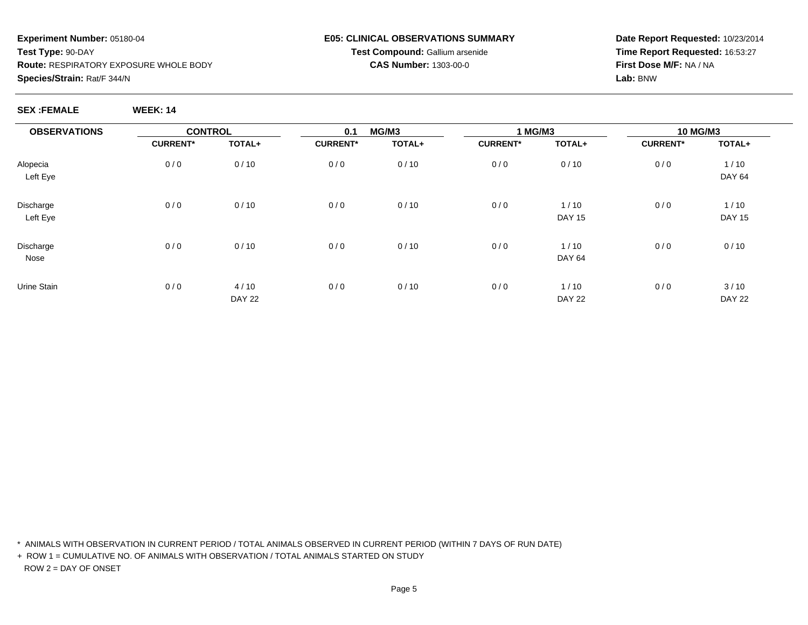## **E05: CLINICAL OBSERVATIONS SUMMARYTest Compound:** Gallium arsenide

# **CAS Number:** 1303-00-0

**Date Report Requested:** 10/23/2014**Time Report Requested:** 16:53:27**First Dose M/F:** NA / NA**Lab:** BNW

**SEX :FEMALE WEEK: 14**

| <b>OBSERVATIONS</b> | <b>CONTROL</b>  |               | 0.1             | MG/M3  | 1 MG/M3         |               | 10 MG/M3        |               |  |
|---------------------|-----------------|---------------|-----------------|--------|-----------------|---------------|-----------------|---------------|--|
|                     | <b>CURRENT*</b> | TOTAL+        | <b>CURRENT*</b> | TOTAL+ | <b>CURRENT*</b> | TOTAL+        | <b>CURRENT*</b> | TOTAL+        |  |
| Alopecia            | 0/0             | 0/10          | 0/0             | 0/10   | 0/0             | 0/10          | 0/0             | 1/10          |  |
| Left Eye            |                 |               |                 |        |                 |               |                 | <b>DAY 64</b> |  |
| Discharge           | 0/0             | 0/10          | 0/0             | 0/10   | 0/0             | 1/10          | 0/0             | 1/10          |  |
| Left Eye            |                 |               |                 |        |                 | <b>DAY 15</b> |                 | <b>DAY 15</b> |  |
| Discharge           | 0/0             | 0/10          | 0/0             | 0/10   | 0/0             | 1/10          | 0/0             | 0/10          |  |
| Nose                |                 |               |                 |        |                 | <b>DAY 64</b> |                 |               |  |
| Urine Stain         | 0/0             | 4/10          | 0/0             | 0/10   | 0/0             | 1/10          | 0/0             | 3/10          |  |
|                     |                 | <b>DAY 22</b> |                 |        |                 | <b>DAY 22</b> |                 | <b>DAY 22</b> |  |

\* ANIMALS WITH OBSERVATION IN CURRENT PERIOD / TOTAL ANIMALS OBSERVED IN CURRENT PERIOD (WITHIN 7 DAYS OF RUN DATE)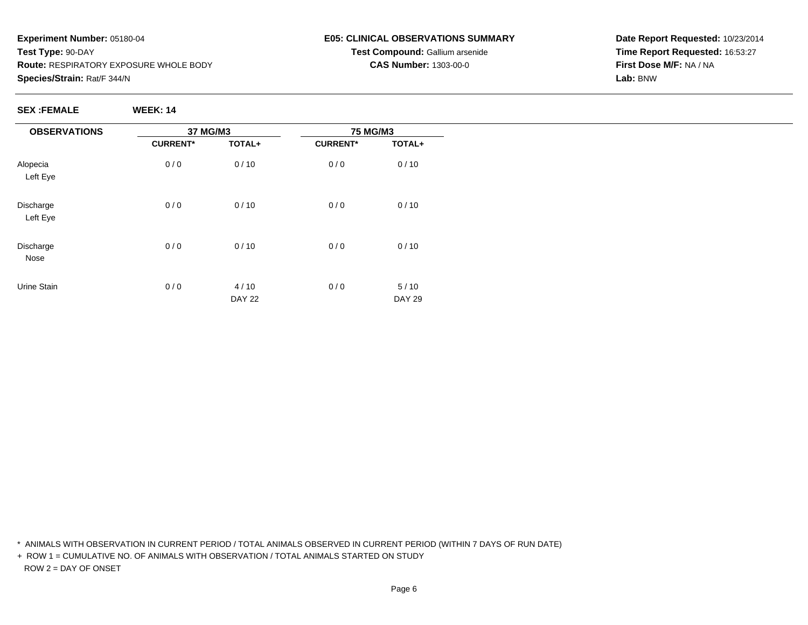# **E05: CLINICAL OBSERVATIONS SUMMARYTest Compound:** Gallium arsenide

**CAS Number:** 1303-00-0

**Date Report Requested:** 10/23/2014**Time Report Requested:** 16:53:27**First Dose M/F:** NA / NA**Lab:** BNW

**SEX :FEMALE WEEK: 14**

| <b>OBSERVATIONS</b>   | 37 MG/M3        |                       | <b>75 MG/M3</b> |                       |  |
|-----------------------|-----------------|-----------------------|-----------------|-----------------------|--|
|                       | <b>CURRENT*</b> | TOTAL+                | <b>CURRENT*</b> | TOTAL+                |  |
| Alopecia<br>Left Eye  | 0/0             | 0/10                  | 0/0             | 0/10                  |  |
| Discharge<br>Left Eye | 0/0             | 0/10                  | 0/0             | 0/10                  |  |
| Discharge<br>Nose     | 0/0             | 0/10                  | 0/0             | 0/10                  |  |
| Urine Stain           | 0/0             | 4/10<br><b>DAY 22</b> | 0/0             | 5/10<br><b>DAY 29</b> |  |

\* ANIMALS WITH OBSERVATION IN CURRENT PERIOD / TOTAL ANIMALS OBSERVED IN CURRENT PERIOD (WITHIN 7 DAYS OF RUN DATE)